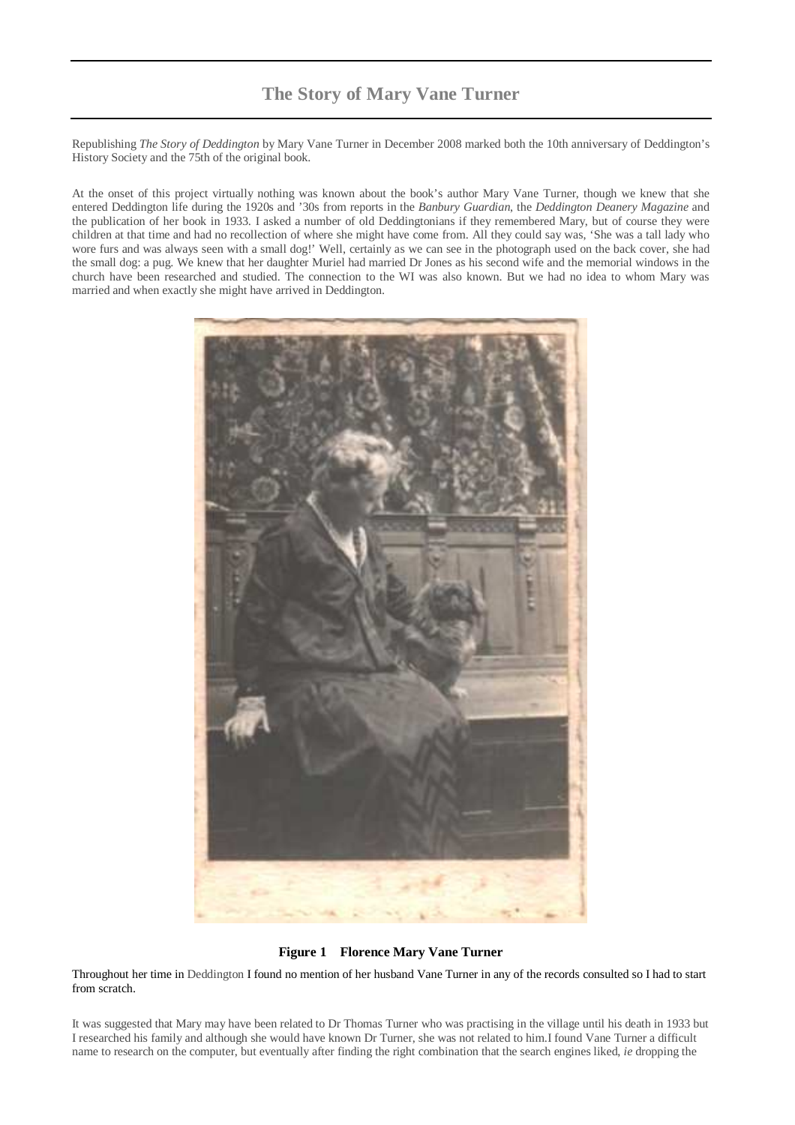### **The Story of Mary Vane Turner**

Republishing *The Story of Deddington* by Mary Vane Turner in December 2008 marked both the 10th anniversary of Deddington's History Society and the 75th of the original book.

At the onset of this project virtually nothing was known about the book's author Mary Vane Turner, though we knew that she entered Deddington life during the 1920s and '30s from reports in the *Banbury Guardian*, the *Deddington Deanery Magazine* and the publication of her book in 1933. I asked a number of old Deddingtonians if they remembered Mary, but of course they were children at that time and had no recollection of where she might have come from. All they could say was, 'She was a tall lady who wore furs and was always seen with a small dog!' Well, certainly as we can see in the photograph used on the back cover, she had the small dog: a pug. We knew that her daughter Muriel had married Dr Jones as his second wife and the memorial windows in the church have been researched and studied. The connection to the WI was also known. But we had no idea to whom Mary was married and when exactly she might have arrived in Deddington.



#### **Figure 1 Florence Mary Vane Turner**

Throughout her time in Deddington I found no mention of her husband Vane Turner in any of the records consulted so I had to start from scratch.

It was suggested that Mary may have been related to Dr Thomas Turner who was practising in the village until his death in 1933 but I researched his family and although she would have known Dr Turner, she was not related to him.I found Vane Turner a difficult name to research on the computer, but eventually after finding the right combination that the search engines liked, *ie* dropping the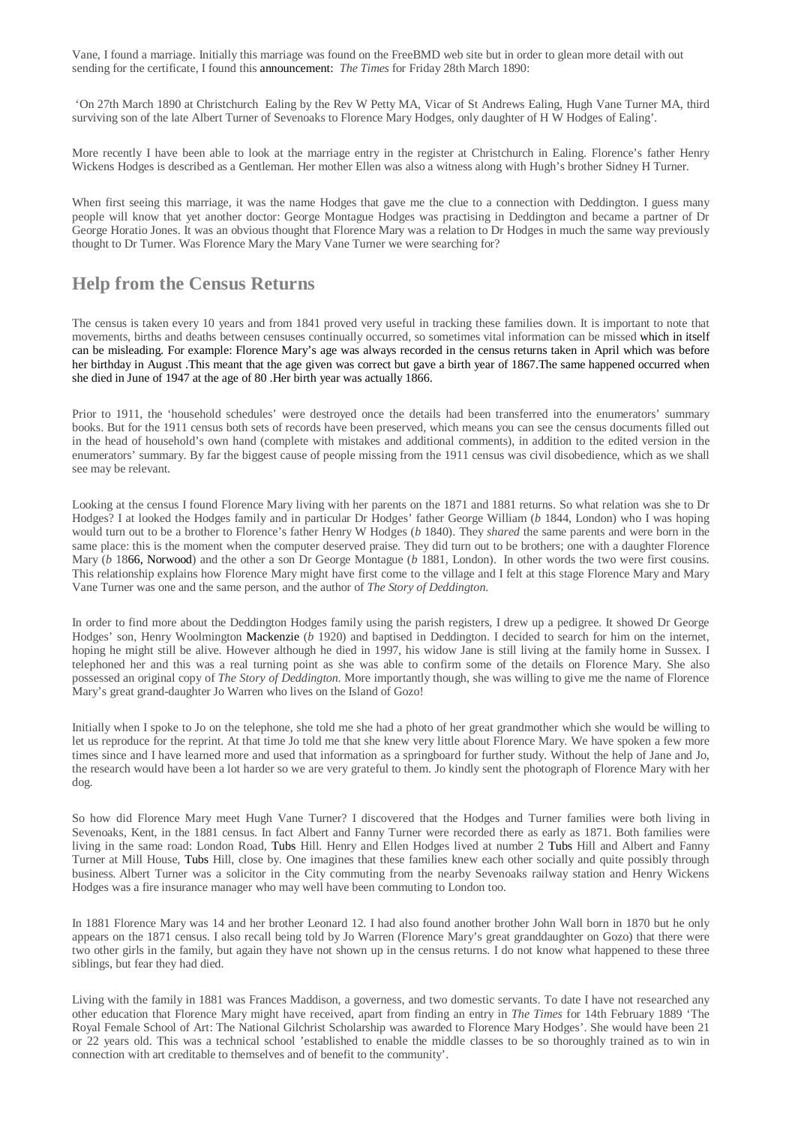Vane, I found a marriage. Initially this marriage was found on the FreeBMD web site but in order to glean more detail with out sending for the certificate, I found this announcement: *The Times* for Friday 28th March 1890:

 'On 27th March 1890 at Christchurch Ealing by the Rev W Petty MA, Vicar of St Andrews Ealing, Hugh Vane Turner MA, third surviving son of the late Albert Turner of Sevenoaks to Florence Mary Hodges, only daughter of H W Hodges of Ealing'.

More recently I have been able to look at the marriage entry in the register at Christchurch in Ealing. Florence's father Henry Wickens Hodges is described as a Gentleman. Her mother Ellen was also a witness along with Hugh's brother Sidney H Turner.

When first seeing this marriage, it was the name Hodges that gave me the clue to a connection with Deddington. I guess many people will know that yet another doctor: George Montague Hodges was practising in Deddington and became a partner of Dr George Horatio Jones. It was an obvious thought that Florence Mary was a relation to Dr Hodges in much the same way previously thought to Dr Turner. Was Florence Mary the Mary Vane Turner we were searching for?

#### **Help from the Census Returns**

The census is taken every 10 years and from 1841 proved very useful in tracking these families down. It is important to note that movements, births and deaths between censuses continually occurred, so sometimes vital information can be missed which in itself can be misleading. For example: Florence Mary's age was always recorded in the census returns taken in April which was before her birthday in August .This meant that the age given was correct but gave a birth year of 1867.The same happened occurred when she died in June of 1947 at the age of 80 .Her birth year was actually 1866.

Prior to 1911, the 'household schedules' were destroyed once the details had been transferred into the enumerators' summary books. But for the 1911 census both sets of records have been preserved, which means you can see the census documents filled out in the head of household's own hand (complete with mistakes and additional comments), in addition to the edited version in the enumerators' summary. By far the biggest cause of people missing from the 1911 census was civil disobedience, which as we shall see may be relevant.

Looking at the census I found Florence Mary living with her parents on the 1871 and 1881 returns. So what relation was she to Dr Hodges? I at looked the Hodges family and in particular Dr Hodges' father George William (*b* 1844, London) who I was hoping would turn out to be a brother to Florence's father Henry W Hodges (*b* 1840). They *shared* the same parents and were born in the same place: this is the moment when the computer deserved praise. They did turn out to be brothers; one with a daughter Florence Mary (*b* 1866, Norwood) and the other a son Dr George Montague (*b* 1881, London). In other words the two were first cousins. This relationship explains how Florence Mary might have first come to the village and I felt at this stage Florence Mary and Mary Vane Turner was one and the same person, and the author of *The Story of Deddington*.

In order to find more about the Deddington Hodges family using the parish registers, I drew up a pedigree. It showed Dr George Hodges' son, Henry Woolmington Mackenzie (*b* 1920) and baptised in Deddington. I decided to search for him on the internet, hoping he might still be alive. However although he died in 1997, his widow Jane is still living at the family home in Sussex. I telephoned her and this was a real turning point as she was able to confirm some of the details on Florence Mary. She also possessed an original copy of *The Story of Deddington*. More importantly though, she was willing to give me the name of Florence Mary's great grand-daughter Jo Warren who lives on the Island of Gozo!

Initially when I spoke to Jo on the telephone, she told me she had a photo of her great grandmother which she would be willing to let us reproduce for the reprint. At that time Jo told me that she knew very little about Florence Mary. We have spoken a few more times since and I have learned more and used that information as a springboard for further study. Without the help of Jane and Jo, the research would have been a lot harder so we are very grateful to them. Jo kindly sent the photograph of Florence Mary with her dog.

So how did Florence Mary meet Hugh Vane Turner? I discovered that the Hodges and Turner families were both living in Sevenoaks, Kent, in the 1881 census. In fact Albert and Fanny Turner were recorded there as early as 1871. Both families were living in the same road: London Road, Tubs Hill. Henry and Ellen Hodges lived at number 2 Tubs Hill and Albert and Fanny Turner at Mill House, Tubs Hill, close by. One imagines that these families knew each other socially and quite possibly through business. Albert Turner was a solicitor in the City commuting from the nearby Sevenoaks railway station and Henry Wickens Hodges was a fire insurance manager who may well have been commuting to London too.

In 1881 Florence Mary was 14 and her brother Leonard 12. I had also found another brother John Wall born in 1870 but he only appears on the 1871 census. I also recall being told by Jo Warren (Florence Mary's great granddaughter on Gozo) that there were two other girls in the family, but again they have not shown up in the census returns. I do not know what happened to these three siblings, but fear they had died.

Living with the family in 1881 was Frances Maddison, a governess, and two domestic servants. To date I have not researched any other education that Florence Mary might have received, apart from finding an entry in *The Times* for 14th February 1889 'The Royal Female School of Art: The National Gilchrist Scholarship was awarded to Florence Mary Hodges'. She would have been 21 or 22 years old. This was a technical school 'established to enable the middle classes to be so thoroughly trained as to win in connection with art creditable to themselves and of benefit to the community'.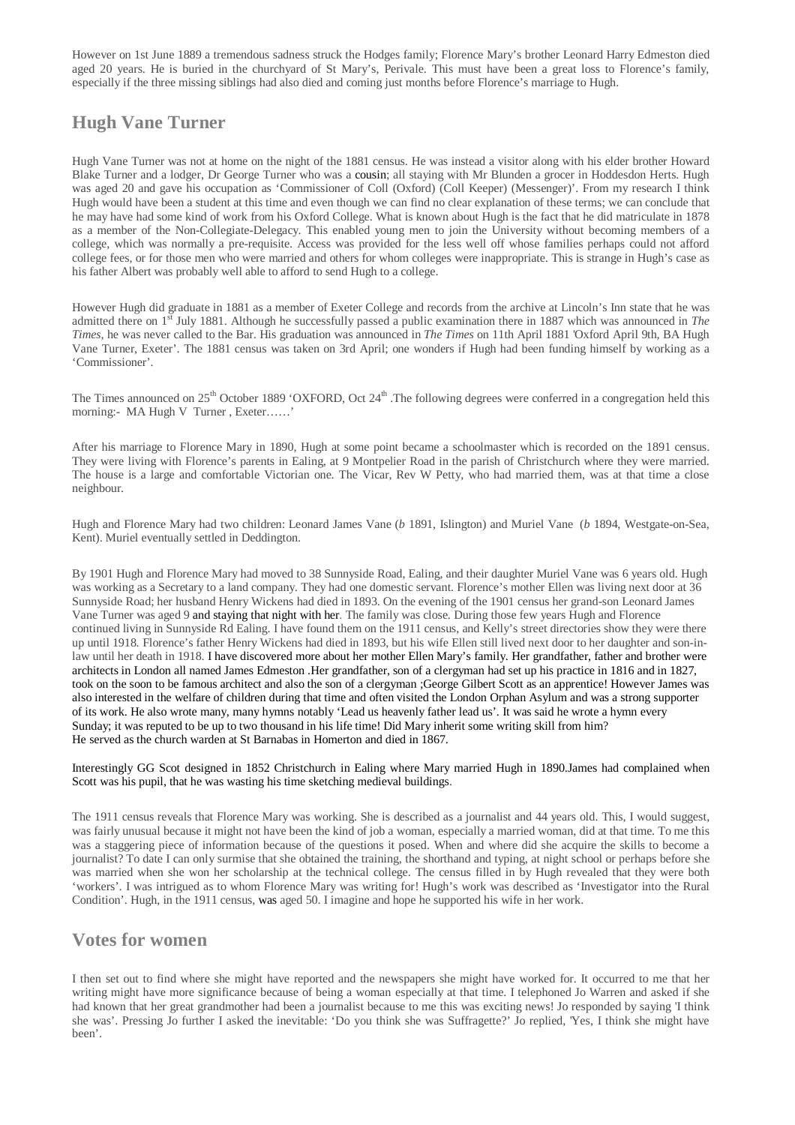However on 1st June 1889 a tremendous sadness struck the Hodges family; Florence Mary's brother Leonard Harry Edmeston died aged 20 years. He is buried in the churchyard of St Mary's, Perivale. This must have been a great loss to Florence's family, especially if the three missing siblings had also died and coming just months before Florence's marriage to Hugh.

## **Hugh Vane Turner**

Hugh Vane Turner was not at home on the night of the 1881 census. He was instead a visitor along with his elder brother Howard Blake Turner and a lodger, Dr George Turner who was a cousin; all staying with Mr Blunden a grocer in Hoddesdon Herts. Hugh was aged 20 and gave his occupation as 'Commissioner of Coll (Oxford) (Coll Keeper) (Messenger)'. From my research I think Hugh would have been a student at this time and even though we can find no clear explanation of these terms; we can conclude that he may have had some kind of work from his Oxford College. What is known about Hugh is the fact that he did matriculate in 1878 as a member of the Non-Collegiate-Delegacy. This enabled young men to join the University without becoming members of a college, which was normally a pre-requisite. Access was provided for the less well off whose families perhaps could not afford college fees, or for those men who were married and others for whom colleges were inappropriate. This is strange in Hugh's case as his father Albert was probably well able to afford to send Hugh to a college.

However Hugh did graduate in 1881 as a member of Exeter College and records from the archive at Lincoln's Inn state that he was admitted there on 1<sup>st</sup> July 1881. Although he successfully passed a public examination there in 1887 which was announced in *The Times*, he was never called to the Bar. His graduation was announced in *The Times* on 11th April 1881 'Oxford April 9th, BA Hugh Vane Turner, Exeter'. The 1881 census was taken on 3rd April; one wonders if Hugh had been funding himself by working as a 'Commissioner'.

The Times announced on  $25<sup>th</sup>$  October 1889 'OXFORD, Oct  $24<sup>th</sup>$ . The following degrees were conferred in a congregation held this morning:- MA Hugh V Turner , Exeter……'

After his marriage to Florence Mary in 1890, Hugh at some point became a schoolmaster which is recorded on the 1891 census. They were living with Florence's parents in Ealing, at 9 Montpelier Road in the parish of Christchurch where they were married. The house is a large and comfortable Victorian one. The Vicar, Rev W Petty, who had married them, was at that time a close neighbour.

Hugh and Florence Mary had two children: Leonard James Vane (*b* 1891, Islington) and Muriel Vane (*b* 1894, Westgate-on-Sea, Kent). Muriel eventually settled in Deddington.

By 1901 Hugh and Florence Mary had moved to 38 Sunnyside Road, Ealing, and their daughter Muriel Vane was 6 years old. Hugh was working as a Secretary to a land company. They had one domestic servant. Florence's mother Ellen was living next door at 36 Sunnyside Road; her husband Henry Wickens had died in 1893. On the evening of the 1901 census her grand-son Leonard James Vane Turner was aged 9 and staying that night with her. The family was close. During those few years Hugh and Florence continued living in Sunnyside Rd Ealing. I have found them on the 1911 census, and Kelly's street directories show they were there up until 1918. Florence's father Henry Wickens had died in 1893, but his wife Ellen still lived next door to her daughter and son-inlaw until her death in 1918. I have discovered more about her mother Ellen Mary's family. Her grandfather, father and brother were architects in London all named James Edmeston .Her grandfather, son of a clergyman had set up his practice in 1816 and in 1827, took on the soon to be famous architect and also the son of a clergyman ;George Gilbert Scott as an apprentice! However James was also interested in the welfare of children during that time and often visited the London Orphan Asylum and was a strong supporter of its work. He also wrote many, many hymns notably 'Lead us heavenly father lead us'. It was said he wrote a hymn every Sunday; it was reputed to be up to two thousand in his life time! Did Mary inherit some writing skill from him? He served as the church warden at St Barnabas in Homerton and died in 1867.

Interestingly GG Scot designed in 1852 Christchurch in Ealing where Mary married Hugh in 1890.James had complained when Scott was his pupil, that he was wasting his time sketching medieval buildings.

The 1911 census reveals that Florence Mary was working. She is described as a journalist and 44 years old. This, I would suggest, was fairly unusual because it might not have been the kind of job a woman, especially a married woman, did at that time. To me this was a staggering piece of information because of the questions it posed. When and where did she acquire the skills to become a journalist? To date I can only surmise that she obtained the training, the shorthand and typing, at night school or perhaps before she was married when she won her scholarship at the technical college. The census filled in by Hugh revealed that they were both 'workers'. I was intrigued as to whom Florence Mary was writing for! Hugh's work was described as 'Investigator into the Rural Condition'. Hugh, in the 1911 census, was aged 50. I imagine and hope he supported his wife in her work.

### **Votes for women**

I then set out to find where she might have reported and the newspapers she might have worked for. It occurred to me that her writing might have more significance because of being a woman especially at that time. I telephoned Jo Warren and asked if she had known that her great grandmother had been a journalist because to me this was exciting news! Jo responded by saying 'I think she was'. Pressing Jo further I asked the inevitable: 'Do you think she was Suffragette?' Jo replied, 'Yes, I think she might have been'.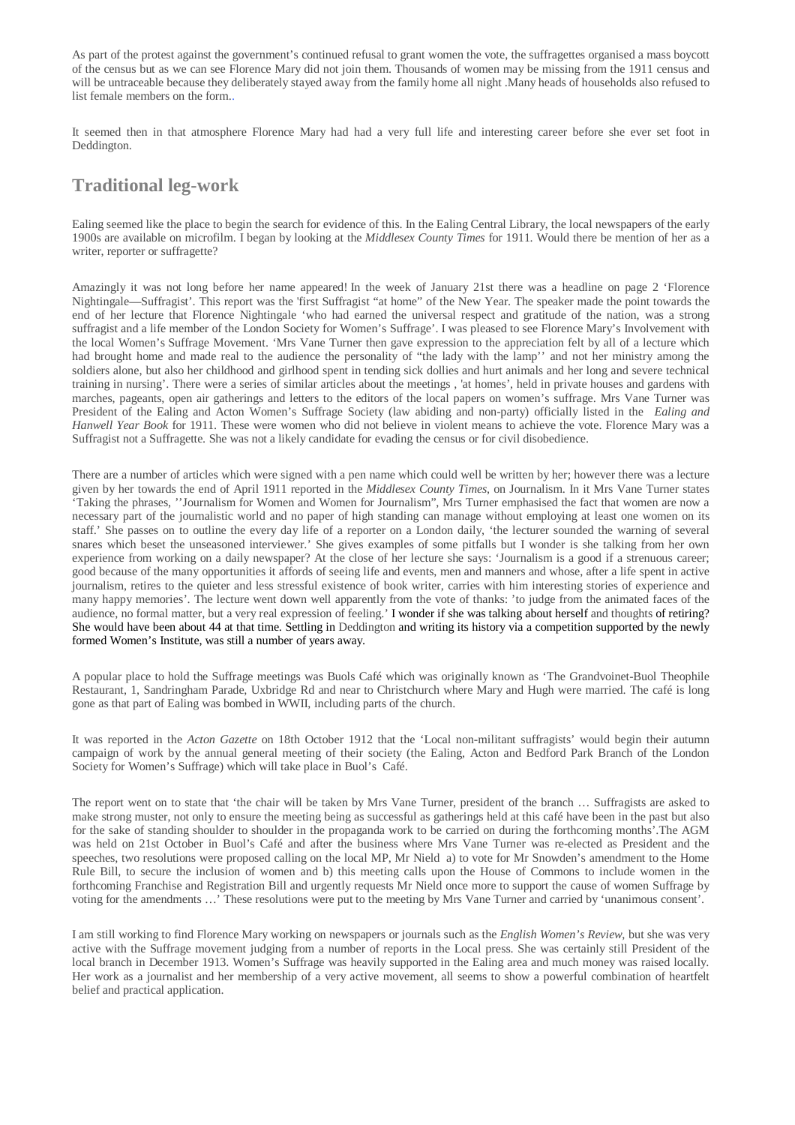As part of the protest against the government's continued refusal to grant women the vote, the suffragettes organised a mass boycott of the census but as we can see Florence Mary did not join them. Thousands of women may be missing from the 1911 census and will be untraceable because they deliberately stayed away from the family home all night .Many heads of households also refused to list female members on the form..

It seemed then in that atmosphere Florence Mary had had a very full life and interesting career before she ever set foot in Deddington.

### **Traditional leg-work**

Ealing seemed like the place to begin the search for evidence of this. In the Ealing Central Library, the local newspapers of the early 1900s are available on microfilm. I began by looking at the *Middlesex County Times* for 1911. Would there be mention of her as a writer, reporter or suffragette?

Amazingly it was not long before her name appeared! In the week of January 21st there was a headline on page 2 'Florence Nightingale—Suffragist'. This report was the 'first Suffragist "at home" of the New Year. The speaker made the point towards the end of her lecture that Florence Nightingale 'who had earned the universal respect and gratitude of the nation, was a strong suffragist and a life member of the London Society for Women's Suffrage'. I was pleased to see Florence Mary's Involvement with the local Women's Suffrage Movement. 'Mrs Vane Turner then gave expression to the appreciation felt by all of a lecture which had brought home and made real to the audience the personality of "the lady with the lamp'' and not her ministry among the soldiers alone, but also her childhood and girlhood spent in tending sick dollies and hurt animals and her long and severe technical training in nursing'. There were a series of similar articles about the meetings , 'at homes', held in private houses and gardens with marches, pageants, open air gatherings and letters to the editors of the local papers on women's suffrage. Mrs Vane Turner was President of the Ealing and Acton Women's Suffrage Society (law abiding and non-party) officially listed in the *Ealing and Hanwell Year Book* for 1911. These were women who did not believe in violent means to achieve the vote. Florence Mary was a Suffragist not a Suffragette. She was not a likely candidate for evading the census or for civil disobedience.

There are a number of articles which were signed with a pen name which could well be written by her; however there was a lecture given by her towards the end of April 1911 reported in the *Middlesex County Times*, on Journalism. In it Mrs Vane Turner states 'Taking the phrases, ''Journalism for Women and Women for Journalism", Mrs Turner emphasised the fact that women are now a necessary part of the journalistic world and no paper of high standing can manage without employing at least one women on its staff.' She passes on to outline the every day life of a reporter on a London daily, 'the lecturer sounded the warning of several snares which beset the unseasoned interviewer.' She gives examples of some pitfalls but I wonder is she talking from her own experience from working on a daily newspaper? At the close of her lecture she says: 'Journalism is a good if a strenuous career; good because of the many opportunities it affords of seeing life and events, men and manners and whose, after a life spent in active journalism, retires to the quieter and less stressful existence of book writer, carries with him interesting stories of experience and many happy memories'. The lecture went down well apparently from the vote of thanks: 'to judge from the animated faces of the audience, no formal matter, but a very real expression of feeling.' I wonder if she was talking about herself and thoughts of retiring? She would have been about 44 at that time. Settling in Deddington and writing its history via a competition supported by the newly formed Women's Institute, was still a number of years away.

A popular place to hold the Suffrage meetings was Buols Café which was originally known as 'The Grandvoinet-Buol Theophile Restaurant, 1, Sandringham Parade, Uxbridge Rd and near to Christchurch where Mary and Hugh were married. The café is long gone as that part of Ealing was bombed in WWII, including parts of the church.

It was reported in the *Acton Gazette* on 18th October 1912 that the 'Local non-militant suffragists' would begin their autumn campaign of work by the annual general meeting of their society (the Ealing, Acton and Bedford Park Branch of the London Society for Women's Suffrage) which will take place in Buol's Café.

The report went on to state that 'the chair will be taken by Mrs Vane Turner, president of the branch … Suffragists are asked to make strong muster, not only to ensure the meeting being as successful as gatherings held at this café have been in the past but also for the sake of standing shoulder to shoulder in the propaganda work to be carried on during the forthcoming months'.The AGM was held on 21st October in Buol's Café and after the business where Mrs Vane Turner was re-elected as President and the speeches, two resolutions were proposed calling on the local MP, Mr Nield a) to vote for Mr Snowden's amendment to the Home Rule Bill, to secure the inclusion of women and b) this meeting calls upon the House of Commons to include women in the forthcoming Franchise and Registration Bill and urgently requests Mr Nield once more to support the cause of women Suffrage by voting for the amendments …' These resolutions were put to the meeting by Mrs Vane Turner and carried by 'unanimous consent'.

I am still working to find Florence Mary working on newspapers or journals such as the *English Women's Review*, but she was very active with the Suffrage movement judging from a number of reports in the Local press. She was certainly still President of the local branch in December 1913. Women's Suffrage was heavily supported in the Ealing area and much money was raised locally. Her work as a journalist and her membership of a very active movement, all seems to show a powerful combination of heartfelt belief and practical application.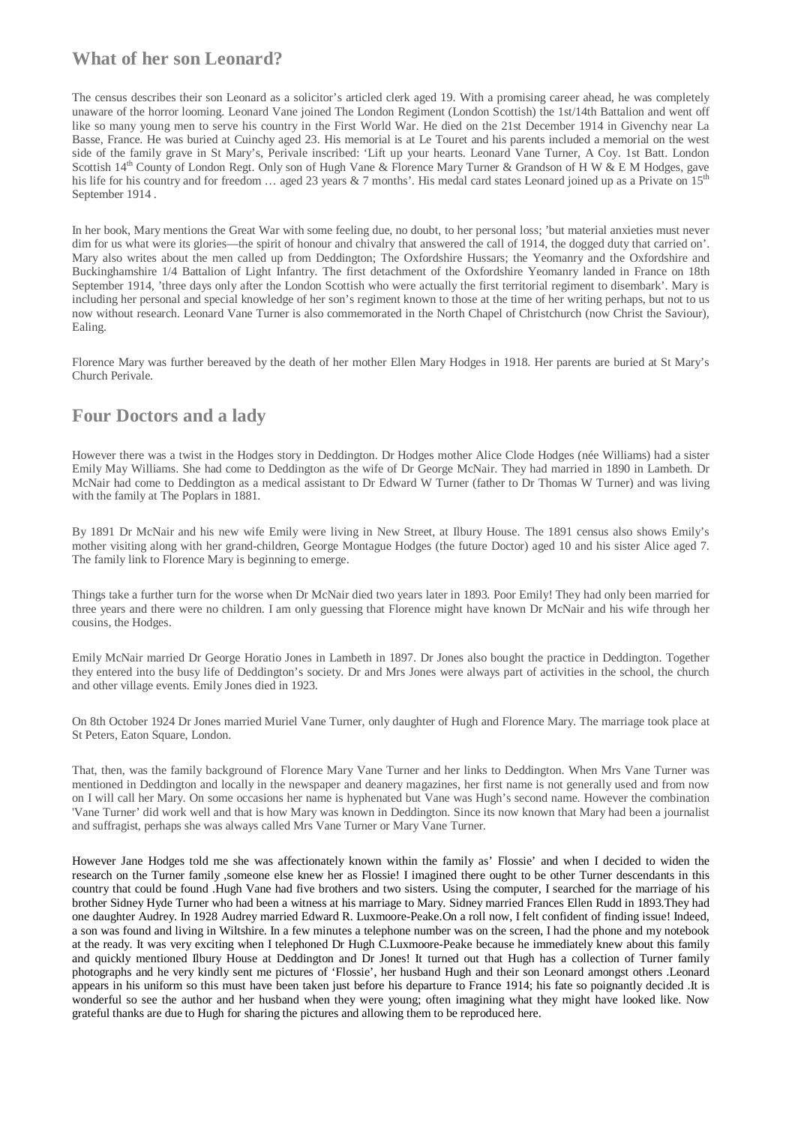### **What of her son Leonard?**

The census describes their son Leonard as a solicitor's articled clerk aged 19. With a promising career ahead, he was completely unaware of the horror looming. Leonard Vane joined The London Regiment (London Scottish) the 1st/14th Battalion and went off like so many young men to serve his country in the First World War. He died on the 21st December 1914 in Givenchy near La Basse, France. He was buried at Cuinchy aged 23. His memorial is at Le Touret and his parents included a memorial on the west side of the family grave in St Mary's, Perivale inscribed: 'Lift up your hearts. Leonard Vane Turner, A Coy. 1st Batt. London Scottish 14<sup>th</sup> County of London Regt. Only son of Hugh Vane & Florence Mary Turner & Grandson of H W & E M Hodges, gave his life for his country and for freedom  $\ldots$  aged 23 years & 7 months'. His medal card states Leonard joined up as a Private on 15<sup>th</sup> September 1914 .

In her book, Mary mentions the Great War with some feeling due, no doubt, to her personal loss; 'but material anxieties must never dim for us what were its glories—the spirit of honour and chivalry that answered the call of 1914, the dogged duty that carried on'. Mary also writes about the men called up from Deddington; The Oxfordshire Hussars; the Yeomanry and the Oxfordshire and Buckinghamshire 1/4 Battalion of Light Infantry. The first detachment of the Oxfordshire Yeomanry landed in France on 18th September 1914, 'three days only after the London Scottish who were actually the first territorial regiment to disembark'. Mary is including her personal and special knowledge of her son's regiment known to those at the time of her writing perhaps, but not to us now without research. Leonard Vane Turner is also commemorated in the North Chapel of Christchurch (now Christ the Saviour), Ealing.

Florence Mary was further bereaved by the death of her mother Ellen Mary Hodges in 1918. Her parents are buried at St Mary's Church Perivale.

### **Four Doctors and a lady**

However there was a twist in the Hodges story in Deddington. Dr Hodges mother Alice Clode Hodges (née Williams) had a sister Emily May Williams. She had come to Deddington as the wife of Dr George McNair. They had married in 1890 in Lambeth. Dr McNair had come to Deddington as a medical assistant to Dr Edward W Turner (father to Dr Thomas W Turner) and was living with the family at The Poplars in 1881.

By 1891 Dr McNair and his new wife Emily were living in New Street, at Ilbury House. The 1891 census also shows Emily's mother visiting along with her grand-children, George Montague Hodges (the future Doctor) aged 10 and his sister Alice aged 7. The family link to Florence Mary is beginning to emerge.

Things take a further turn for the worse when Dr McNair died two years later in 1893. Poor Emily! They had only been married for three years and there were no children. I am only guessing that Florence might have known Dr McNair and his wife through her cousins, the Hodges.

Emily McNair married Dr George Horatio Jones in Lambeth in 1897. Dr Jones also bought the practice in Deddington. Together they entered into the busy life of Deddington's society. Dr and Mrs Jones were always part of activities in the school, the church and other village events. Emily Jones died in 1923.

On 8th October 1924 Dr Jones married Muriel Vane Turner, only daughter of Hugh and Florence Mary. The marriage took place at St Peters, Eaton Square, London.

That, then, was the family background of Florence Mary Vane Turner and her links to Deddington. When Mrs Vane Turner was mentioned in Deddington and locally in the newspaper and deanery magazines, her first name is not generally used and from now on I will call her Mary. On some occasions her name is hyphenated but Vane was Hugh's second name. However the combination 'Vane Turner' did work well and that is how Mary was known in Deddington. Since its now known that Mary had been a journalist and suffragist, perhaps she was always called Mrs Vane Turner or Mary Vane Turner.

However Jane Hodges told me she was affectionately known within the family as' Flossie' and when I decided to widen the research on the Turner family ,someone else knew her as Flossie! I imagined there ought to be other Turner descendants in this country that could be found .Hugh Vane had five brothers and two sisters. Using the computer, I searched for the marriage of his brother Sidney Hyde Turner who had been a witness at his marriage to Mary. Sidney married Frances Ellen Rudd in 1893.They had one daughter Audrey. In 1928 Audrey married Edward R. Luxmoore-Peake.On a roll now, I felt confident of finding issue! Indeed, a son was found and living in Wiltshire. In a few minutes a telephone number was on the screen, I had the phone and my notebook at the ready. It was very exciting when I telephoned Dr Hugh C.Luxmoore-Peake because he immediately knew about this family and quickly mentioned Ilbury House at Deddington and Dr Jones! It turned out that Hugh has a collection of Turner family photographs and he very kindly sent me pictures of 'Flossie', her husband Hugh and their son Leonard amongst others .Leonard appears in his uniform so this must have been taken just before his departure to France 1914; his fate so poignantly decided .It is wonderful so see the author and her husband when they were young; often imagining what they might have looked like. Now grateful thanks are due to Hugh for sharing the pictures and allowing them to be reproduced here.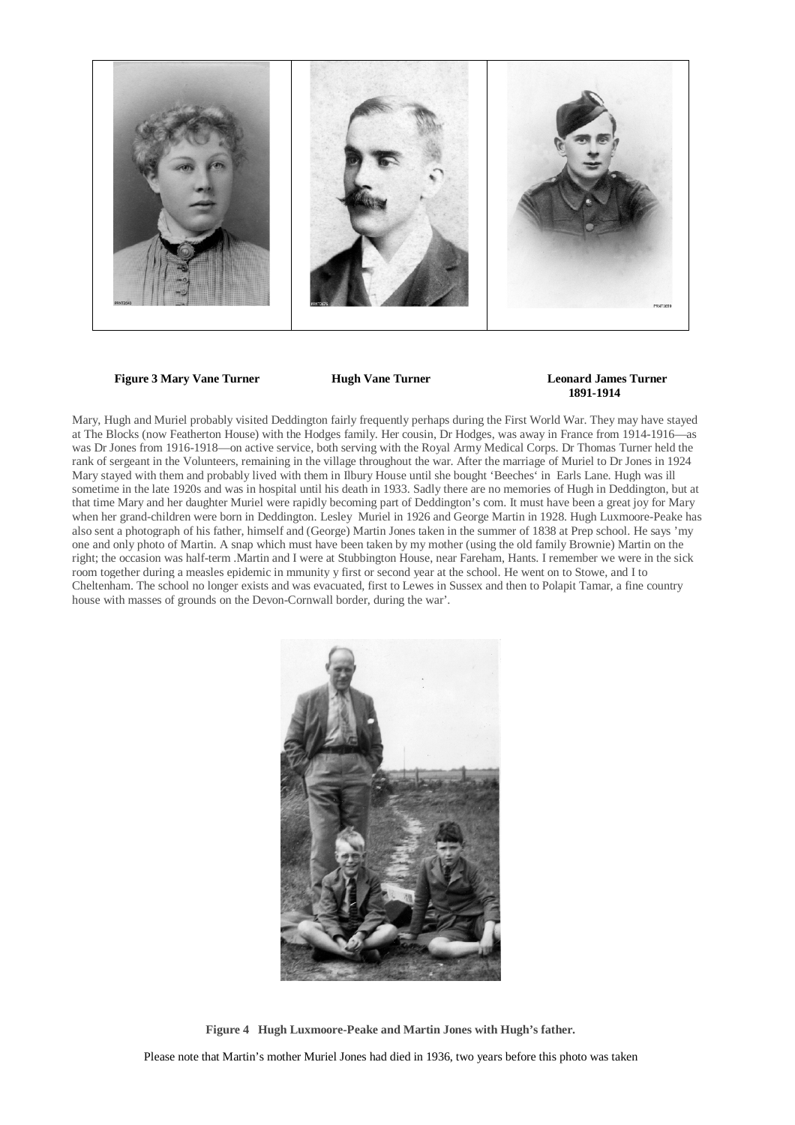

**Figure 3 Mary Vane Turner Hugh Vane Turner Leonard James Turner** 

# **1891-1914**

Mary, Hugh and Muriel probably visited Deddington fairly frequently perhaps during the First World War. They may have stayed at The Blocks (now Featherton House) with the Hodges family. Her cousin, Dr Hodges, was away in France from 1914-1916—as was Dr Jones from 1916-1918—on active service, both serving with the Royal Army Medical Corps. Dr Thomas Turner held the rank of sergeant in the Volunteers, remaining in the village throughout the war. After the marriage of Muriel to Dr Jones in 1924 Mary stayed with them and probably lived with them in Ilbury House until she bought 'Beeches' in Earls Lane. Hugh was ill sometime in the late 1920s and was in hospital until his death in 1933. Sadly there are no memories of Hugh in Deddington, but at that time Mary and her daughter Muriel were rapidly becoming part of Deddington's com. It must have been a great joy for Mary when her grand-children were born in Deddington. Lesley Muriel in 1926 and George Martin in 1928. Hugh Luxmoore-Peake has also sent a photograph of his father, himself and (George) Martin Jones taken in the summer of 1838 at Prep school. He says 'my one and only photo of Martin. A snap which must have been taken by my mother (using the old family Brownie) Martin on the right; the occasion was half-term .Martin and I were at Stubbington House, near Fareham, Hants. I remember we were in the sick room together during a measles epidemic in mmunity y first or second year at the school. He went on to Stowe, and I to Cheltenham. The school no longer exists and was evacuated, first to Lewes in Sussex and then to Polapit Tamar, a fine country house with masses of grounds on the Devon-Cornwall border, during the war'.



**Figure 4 Hugh Luxmoore-Peake and Martin Jones with Hugh's father.** 

Please note that Martin's mother Muriel Jones had died in 1936, two years before this photo was taken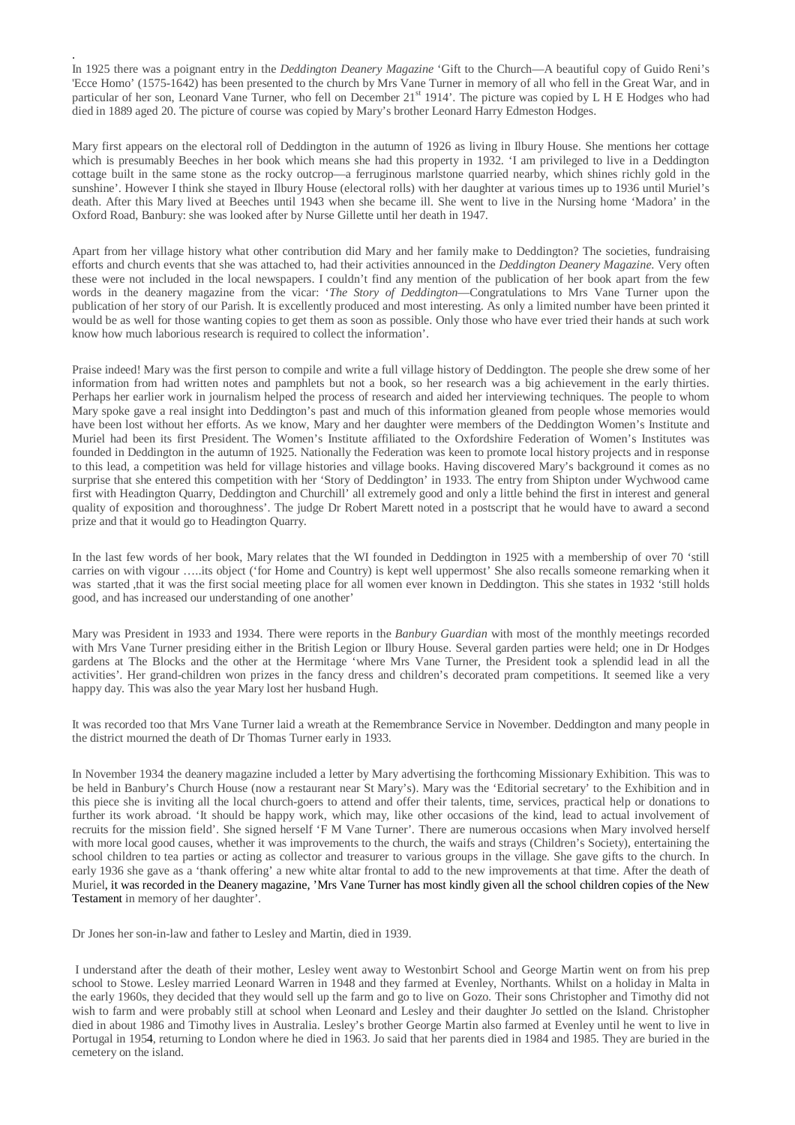In 1925 there was a poignant entry in the *Deddington Deanery Magazine* 'Gift to the Church—A beautiful copy of Guido Reni's 'Ecce Homo' (1575-1642) has been presented to the church by Mrs Vane Turner in memory of all who fell in the Great War, and in particular of her son, Leonard Vane Turner, who fell on December 21<sup>st</sup> 1914'. The picture was copied by L H E Hodges who had died in 1889 aged 20. The picture of course was copied by Mary's brother Leonard Harry Edmeston Hodges.

.

Mary first appears on the electoral roll of Deddington in the autumn of 1926 as living in Ilbury House. She mentions her cottage which is presumably Beeches in her book which means she had this property in 1932. 'I am privileged to live in a Deddington cottage built in the same stone as the rocky outcrop—a ferruginous marlstone quarried nearby, which shines richly gold in the sunshine'. However I think she stayed in Ilbury House (electoral rolls) with her daughter at various times up to 1936 until Muriel's death. After this Mary lived at Beeches until 1943 when she became ill. She went to live in the Nursing home 'Madora' in the Oxford Road, Banbury: she was looked after by Nurse Gillette until her death in 1947.

Apart from her village history what other contribution did Mary and her family make to Deddington? The societies, fundraising efforts and church events that she was attached to, had their activities announced in the *Deddington Deanery Magazine*. Very often these were not included in the local newspapers. I couldn't find any mention of the publication of her book apart from the few words in the deanery magazine from the vicar: '*The Story of Deddington*—Congratulations to Mrs Vane Turner upon the publication of her story of our Parish. It is excellently produced and most interesting. As only a limited number have been printed it would be as well for those wanting copies to get them as soon as possible. Only those who have ever tried their hands at such work know how much laborious research is required to collect the information'.

Praise indeed! Mary was the first person to compile and write a full village history of Deddington. The people she drew some of her information from had written notes and pamphlets but not a book, so her research was a big achievement in the early thirties. Perhaps her earlier work in journalism helped the process of research and aided her interviewing techniques. The people to whom Mary spoke gave a real insight into Deddington's past and much of this information gleaned from people whose memories would have been lost without her efforts. As we know, Mary and her daughter were members of the Deddington Women's Institute and Muriel had been its first President. The Women's Institute affiliated to the Oxfordshire Federation of Women's Institutes was founded in Deddington in the autumn of 1925. Nationally the Federation was keen to promote local history projects and in response to this lead, a competition was held for village histories and village books. Having discovered Mary's background it comes as no surprise that she entered this competition with her 'Story of Deddington' in 1933. The entry from Shipton under Wychwood came first with Headington Quarry, Deddington and Churchill' all extremely good and only a little behind the first in interest and general quality of exposition and thoroughness'. The judge Dr Robert Marett noted in a postscript that he would have to award a second prize and that it would go to Headington Quarry.

In the last few words of her book, Mary relates that the WI founded in Deddington in 1925 with a membership of over 70 'still carries on with vigour …..its object ('for Home and Country) is kept well uppermost' She also recalls someone remarking when it was started ,that it was the first social meeting place for all women ever known in Deddington. This she states in 1932 'still holds good, and has increased our understanding of one another'

Mary was President in 1933 and 1934. There were reports in the *Banbury Guardian* with most of the monthly meetings recorded with Mrs Vane Turner presiding either in the British Legion or Ilbury House. Several garden parties were held; one in Dr Hodges gardens at The Blocks and the other at the Hermitage 'where Mrs Vane Turner, the President took a splendid lead in all the activities'. Her grand-children won prizes in the fancy dress and children's decorated pram competitions. It seemed like a very happy day. This was also the year Mary lost her husband Hugh.

It was recorded too that Mrs Vane Turner laid a wreath at the Remembrance Service in November. Deddington and many people in the district mourned the death of Dr Thomas Turner early in 1933.

In November 1934 the deanery magazine included a letter by Mary advertising the forthcoming Missionary Exhibition. This was to be held in Banbury's Church House (now a restaurant near St Mary's). Mary was the 'Editorial secretary' to the Exhibition and in this piece she is inviting all the local church-goers to attend and offer their talents, time, services, practical help or donations to further its work abroad. 'It should be happy work, which may, like other occasions of the kind, lead to actual involvement of recruits for the mission field'. She signed herself 'F M Vane Turner'. There are numerous occasions when Mary involved herself with more local good causes, whether it was improvements to the church, the waifs and strays (Children's Society), entertaining the school children to tea parties or acting as collector and treasurer to various groups in the village. She gave gifts to the church. In early 1936 she gave as a 'thank offering' a new white altar frontal to add to the new improvements at that time. After the death of Muriel, it was recorded in the Deanery magazine, 'Mrs Vane Turner has most kindly given all the school children copies of the New Testament in memory of her daughter'.

Dr Jones her son-in-law and father to Lesley and Martin, died in 1939.

 I understand after the death of their mother, Lesley went away to Westonbirt School and George Martin went on from his prep school to Stowe. Lesley married Leonard Warren in 1948 and they farmed at Evenley, Northants. Whilst on a holiday in Malta in the early 1960s, they decided that they would sell up the farm and go to live on Gozo. Their sons Christopher and Timothy did not wish to farm and were probably still at school when Leonard and Lesley and their daughter Jo settled on the Island. Christopher died in about 1986 and Timothy lives in Australia. Lesley's brother George Martin also farmed at Evenley until he went to live in Portugal in 1954, returning to London where he died in 1963. Jo said that her parents died in 1984 and 1985. They are buried in the cemetery on the island.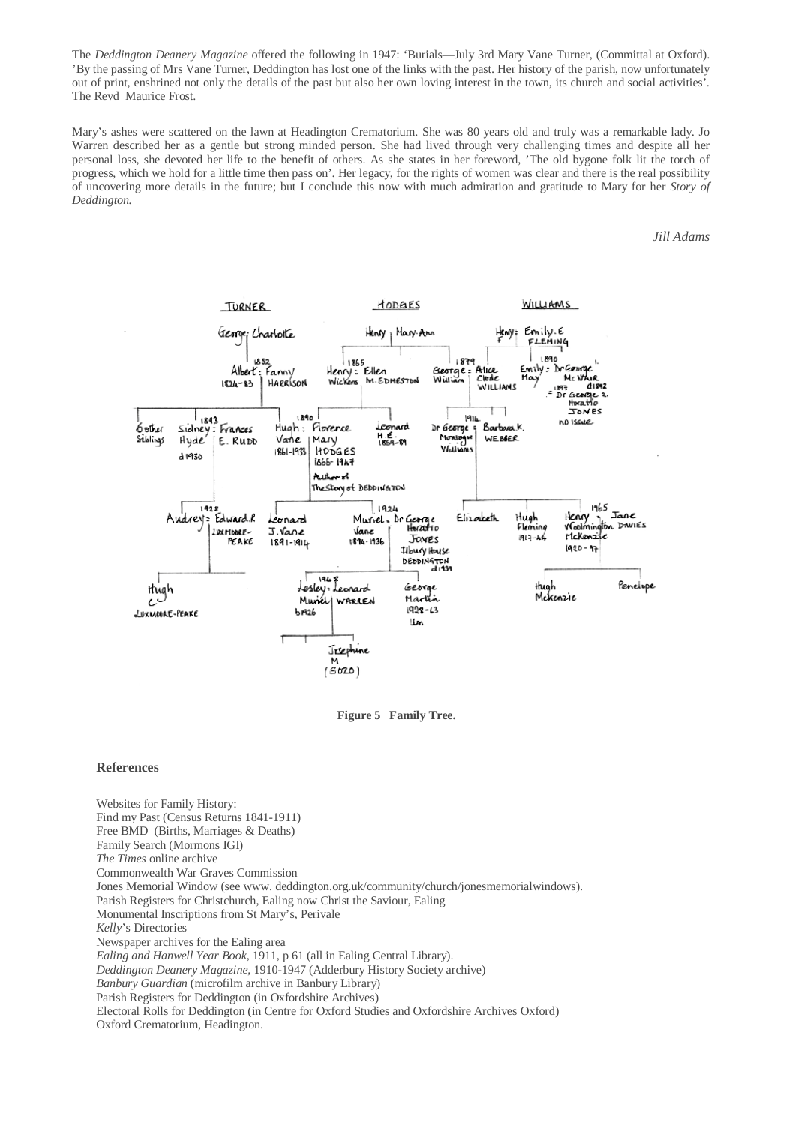The *Deddington Deanery Magazine* offered the following in 1947: 'Burials—July 3rd Mary Vane Turner, (Committal at Oxford). 'By the passing of Mrs Vane Turner, Deddington has lost one of the links with the past. Her history of the parish, now unfortunately out of print, enshrined not only the details of the past but also her own loving interest in the town, its church and social activities'. The Revd Maurice Frost.

Mary's ashes were scattered on the lawn at Headington Crematorium. She was 80 years old and truly was a remarkable lady. Jo Warren described her as a gentle but strong minded person. She had lived through very challenging times and despite all her personal loss, she devoted her life to the benefit of others. As she states in her foreword, 'The old bygone folk lit the torch of progress, which we hold for a little time then pass on'. Her legacy, for the rights of women was clear and there is the real possibility of uncovering more details in the future; but I conclude this now with much admiration and gratitude to Mary for her *Story of Deddington.*

#### *Jill Adams*



**Figure 5 Family Tree.** 

#### **References**

Websites for Family History: Find my Past (Census Returns 1841-1911) Free BMD (Births, Marriages & Deaths) Family Search (Mormons IGI) *The Times* online archive Commonwealth War Graves Commission Jones Memorial Window (see www. deddington.org.uk/community/church/jonesmemorialwindows). Parish Registers for Christchurch, Ealing now Christ the Saviour, Ealing Monumental Inscriptions from St Mary's, Perivale *Kelly*'s Directories Newspaper archives for the Ealing area *Ealing and Hanwell Year Book*, 1911, p 61 (all in Ealing Central Library). *Deddington Deanery Magazine,* 1910-1947 (Adderbury History Society archive) *Banbury Guardian* (microfilm archive in Banbury Library) Parish Registers for Deddington (in Oxfordshire Archives) Electoral Rolls for Deddington (in Centre for Oxford Studies and Oxfordshire Archives Oxford) Oxford Crematorium, Headington.